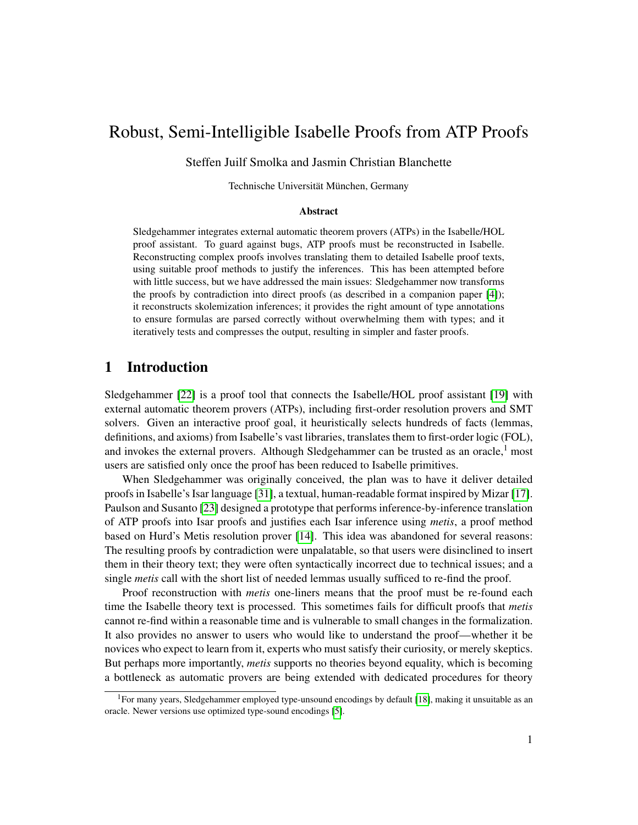# Robust, Semi-Intelligible Isabelle Proofs from ATP Proofs

Steffen Juilf Smolka and Jasmin Christian Blanchette

Technische Universität München, Germany

#### Abstract

Sledgehammer integrates external automatic theorem provers (ATPs) in the Isabelle/HOL proof assistant. To guard against bugs, ATP proofs must be reconstructed in Isabelle. Reconstructing complex proofs involves translating them to detailed Isabelle proof texts, using suitable proof methods to justify the inferences. This has been attempted before with little success, but we have addressed the main issues: Sledgehammer now transforms the proofs by contradiction into direct proofs (as described in a companion paper [\[4\]](#page-14-0)); it reconstructs skolemization inferences; it provides the right amount of type annotations to ensure formulas are parsed correctly without overwhelming them with types; and it iteratively tests and compresses the output, resulting in simpler and faster proofs.

## 1 Introduction

Sledgehammer [\[22\]](#page-15-0) is a proof tool that connects the Isabelle/HOL proof assistant [\[19\]](#page-15-1) with external automatic theorem provers (ATPs), including first-order resolution provers and SMT solvers. Given an interactive proof goal, it heuristically selects hundreds of facts (lemmas, definitions, and axioms) from Isabelle's vast libraries, translates them to first-order logic (FOL), and invokes the external provers. Although Sledgehammer can be trusted as an oracle, $\frac{1}{1}$  most users are satisfied only once the proof has been reduced to Isabelle primitives.

When Sledgehammer was originally conceived, the plan was to have it deliver detailed proofs in Isabelle's Isar language [\[31\]](#page-15-2), a textual, human-readable format inspired by Mizar [\[17\]](#page-15-3). Paulson and Susanto [\[23\]](#page-15-4) designed a prototype that performs inference-by-inference translation of ATP proofs into Isar proofs and justifies each Isar inference using *metis*, a proof method based on Hurd's Metis resolution prover [\[14\]](#page-15-5). This idea was abandoned for several reasons: The resulting proofs by contradiction were unpalatable, so that users were disinclined to insert them in their theory text; they were often syntactically incorrect due to technical issues; and a single *metis* call with the short list of needed lemmas usually sufficed to re-find the proof.

Proof reconstruction with *metis* one-liners means that the proof must be re-found each time the Isabelle theory text is processed. This sometimes fails for difficult proofs that *metis* cannot re-find within a reasonable time and is vulnerable to small changes in the formalization. It also provides no answer to users who would like to understand the proof—whether it be novices who expect to learn from it, experts who must satisfy their curiosity, or merely skeptics. But perhaps more importantly, *metis* supports no theories beyond equality, which is becoming a bottleneck as automatic provers are being extended with dedicated procedures for theory

<sup>&</sup>lt;sup>1</sup>For many years, Sledgehammer employed type-unsound encodings by default [\[18\]](#page-15-6), making it unsuitable as an oracle. Newer versions use optimized type-sound encodings [\[5\]](#page-14-1).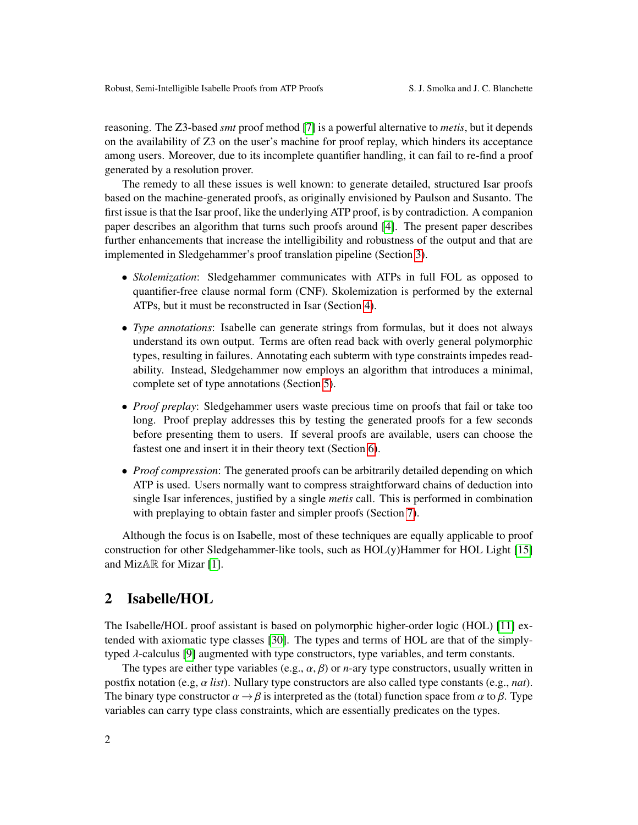reasoning. The Z3-based *smt* proof method [\[7\]](#page-14-2) is a powerful alternative to *metis*, but it depends on the availability of Z3 on the user's machine for proof replay, which hinders its acceptance among users. Moreover, due to its incomplete quantifier handling, it can fail to re-find a proof generated by a resolution prover.

The remedy to all these issues is well known: to generate detailed, structured Isar proofs based on the machine-generated proofs, as originally envisioned by Paulson and Susanto. The first issue is that the Isar proof, like the underlying ATP proof, is by contradiction. A companion paper describes an algorithm that turns such proofs around [\[4\]](#page-14-0). The present paper describes further enhancements that increase the intelligibility and robustness of the output and that are implemented in Sledgehammer's proof translation pipeline (Section [3\)](#page-2-0).

- *Skolemization*: Sledgehammer communicates with ATPs in full FOL as opposed to quantifier-free clause normal form (CNF). Skolemization is performed by the external ATPs, but it must be reconstructed in Isar (Section [4\)](#page-6-0).
- *Type annotations*: Isabelle can generate strings from formulas, but it does not always understand its own output. Terms are often read back with overly general polymorphic types, resulting in failures. Annotating each subterm with type constraints impedes readability. Instead, Sledgehammer now employs an algorithm that introduces a minimal, complete set of type annotations (Section [5\)](#page-8-0).
- *Proof preplay*: Sledgehammer users waste precious time on proofs that fail or take too long. Proof preplay addresses this by testing the generated proofs for a few seconds before presenting them to users. If several proofs are available, users can choose the fastest one and insert it in their theory text (Section [6\)](#page-11-0).
- *Proof compression*: The generated proofs can be arbitrarily detailed depending on which ATP is used. Users normally want to compress straightforward chains of deduction into single Isar inferences, justified by a single *metis* call. This is performed in combination with preplaying to obtain faster and simpler proofs (Section [7\)](#page-12-0).

Although the focus is on Isabelle, most of these techniques are equally applicable to proof construction for other Sledgehammer-like tools, such as HOL(y)Hammer for HOL Light [\[15\]](#page-15-7) and MizAR for Mizar [\[1\]](#page-14-3).

#### 2 Isabelle/HOL

The Isabelle/HOL proof assistant is based on polymorphic higher-order logic (HOL) [\[11\]](#page-14-4) extended with axiomatic type classes [\[30\]](#page-15-8). The types and terms of HOL are that of the simplytyped λ-calculus [\[9\]](#page-14-5) augmented with type constructors, type variables, and term constants.

The types are either type variables (e.g.,  $\alpha$ ,  $\beta$ ) or *n*-ary type constructors, usually written in postfix notation (e.g, α *list*). Nullary type constructors are also called type constants (e.g., *nat*). The binary type constructor  $\alpha \rightarrow \beta$  is interpreted as the (total) function space from  $\alpha$  to  $\beta$ . Type variables can carry type class constraints, which are essentially predicates on the types.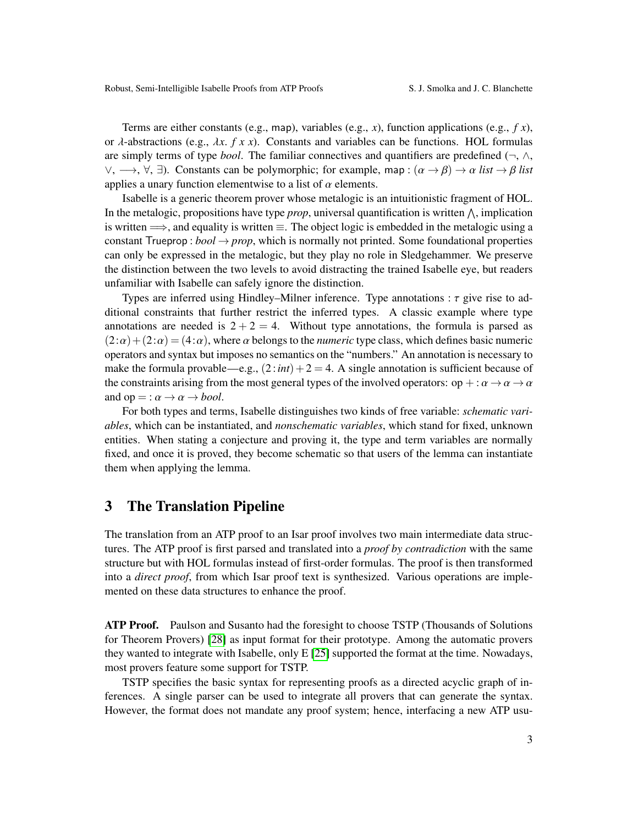Terms are either constants (e.g., map), variables (e.g.,  $x$ ), function applications (e.g.,  $f(x)$ , or λ-abstractions (e.g., λ*x*. *f x x*). Constants and variables can be functions. HOL formulas are simply terms of type *bool*. The familiar connectives and quantifiers are predefined ( $\neg$ ,  $\wedge$ ,  $\vee, \longrightarrow, \forall, \exists$ ). Constants can be polymorphic; for example, map :  $(\alpha \rightarrow \beta) \rightarrow \alpha$  *list*  $\rightarrow \beta$  *list* applies a unary function elementwise to a list of  $\alpha$  elements.

Isabelle is a generic theorem prover whose metalogic is an intuitionistic fragment of HOL. In the metalogic, propositions have type  $prop$ , universal quantification is written  $\wedge$ , implication is written  $\implies$ , and equality is written  $\equiv$ . The object logic is embedded in the metalogic using a constant Trueprop :  $bool \rightarrow prop$ , which is normally not printed. Some foundational properties can only be expressed in the metalogic, but they play no role in Sledgehammer. We preserve the distinction between the two levels to avoid distracting the trained Isabelle eye, but readers unfamiliar with Isabelle can safely ignore the distinction.

Types are inferred using Hindley–Milner inference. Type annotations :  $\tau$  give rise to additional constraints that further restrict the inferred types. A classic example where type annotations are needed is  $2 + 2 = 4$ . Without type annotations, the formula is parsed as  $(2:\alpha) + (2:\alpha) = (4:\alpha)$ , where  $\alpha$  belongs to the *numeric* type class, which defines basic numeric operators and syntax but imposes no semantics on the "numbers." An annotation is necessary to make the formula provable—e.g.,  $(2:int) + 2 = 4$ . A single annotation is sufficient because of the constraints arising from the most general types of the involved operators: op  $+ : \alpha \to \alpha \to \alpha$ and  $op =: \alpha \rightarrow \alpha \rightarrow bool.$ 

For both types and terms, Isabelle distinguishes two kinds of free variable: *schematic variables*, which can be instantiated, and *nonschematic variables*, which stand for fixed, unknown entities. When stating a conjecture and proving it, the type and term variables are normally fixed, and once it is proved, they become schematic so that users of the lemma can instantiate them when applying the lemma.

#### <span id="page-2-0"></span>3 The Translation Pipeline

The translation from an ATP proof to an Isar proof involves two main intermediate data structures. The ATP proof is first parsed and translated into a *proof by contradiction* with the same structure but with HOL formulas instead of first-order formulas. The proof is then transformed into a *direct proof*, from which Isar proof text is synthesized. Various operations are implemented on these data structures to enhance the proof.

ATP Proof. Paulson and Susanto had the foresight to choose TSTP (Thousands of Solutions for Theorem Provers) [\[28\]](#page-15-9) as input format for their prototype. Among the automatic provers they wanted to integrate with Isabelle, only E [\[25\]](#page-15-10) supported the format at the time. Nowadays, most provers feature some support for TSTP.

TSTP specifies the basic syntax for representing proofs as a directed acyclic graph of inferences. A single parser can be used to integrate all provers that can generate the syntax. However, the format does not mandate any proof system; hence, interfacing a new ATP usu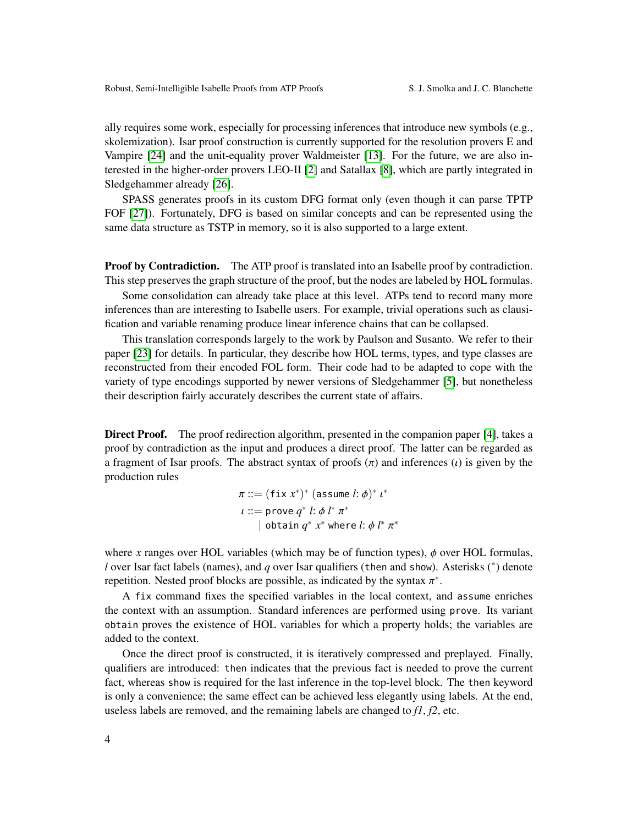ally requires some work, especially for processing inferences that introduce new symbols (e.g., skolemization). Isar proof construction is currently supported for the resolution provers E and Vampire [\[24\]](#page-15-11) and the unit-equality prover Waldmeister [\[13\]](#page-14-6). For the future, we are also interested in the higher-order provers LEO-II [\[2\]](#page-14-7) and Satallax [\[8\]](#page-14-8), which are partly integrated in Sledgehammer already [\[26\]](#page-15-12).

SPASS generates proofs in its custom DFG format only (even though it can parse TPTP FOF [\[27\]](#page-15-13)). Fortunately, DFG is based on similar concepts and can be represented using the same data structure as TSTP in memory, so it is also supported to a large extent.

**Proof by Contradiction.** The ATP proof is translated into an Isabelle proof by contradiction. This step preserves the graph structure of the proof, but the nodes are labeled by HOL formulas.

Some consolidation can already take place at this level. ATPs tend to record many more inferences than are interesting to Isabelle users. For example, trivial operations such as clausification and variable renaming produce linear inference chains that can be collapsed.

This translation corresponds largely to the work by Paulson and Susanto. We refer to their paper [\[23\]](#page-15-4) for details. In particular, they describe how HOL terms, types, and type classes are reconstructed from their encoded FOL form. Their code had to be adapted to cope with the variety of type encodings supported by newer versions of Sledgehammer [\[5\]](#page-14-1), but nonetheless their description fairly accurately describes the current state of affairs.

Direct Proof. The proof redirection algorithm, presented in the companion paper [\[4\]](#page-14-0), takes a proof by contradiction as the input and produces a direct proof. The latter can be regarded as a fragment of Isar proofs. The abstract syntax of proofs  $(\pi)$  and inferences  $(\iota)$  is given by the production rules

$$
\pi ::= (\text{fix } x^*)^* (\text{assume } l : \phi)^* i^*
$$
  

$$
\iota ::= \text{prove } q^* l : \phi l^* \pi^*
$$
  
| obtain  $q^* x^*$  where  $l : \phi l^* \pi^*$ 

where *x* ranges over HOL variables (which may be of function types),  $\phi$  over HOL formulas, *l* over Isar fact labels (names), and *q* over Isar qualifiers (then and show). Asterisks (<sup>∗</sup> ) denote repetition. Nested proof blocks are possible, as indicated by the syntax  $\pi^*$ .

A fix command fixes the specified variables in the local context, and assume enriches the context with an assumption. Standard inferences are performed using prove. Its variant obtain proves the existence of HOL variables for which a property holds; the variables are added to the context.

Once the direct proof is constructed, it is iteratively compressed and preplayed. Finally, qualifiers are introduced: then indicates that the previous fact is needed to prove the current fact, whereas show is required for the last inference in the top-level block. The then keyword is only a convenience; the same effect can be achieved less elegantly using labels. At the end, useless labels are removed, and the remaining labels are changed to *f1*, *f2*, etc.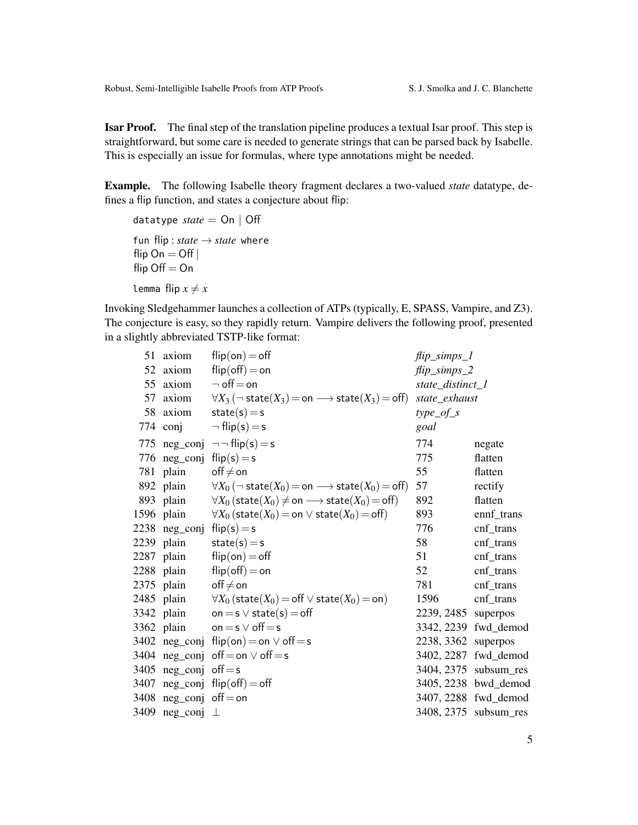Isar Proof. The final step of the translation pipeline produces a textual Isar proof. This step is straightforward, but some care is needed to generate strings that can be parsed back by Isabelle. This is especially an issue for formulas, where type annotations might be needed.

Example. The following Isabelle theory fragment declares a two-valued *state* datatype, defines a flip function, and states a conjecture about flip:

```
datatype state = On | Off
fun flip : state \rightarrow state where
flip On = Offflip Off = Onlemma flip x \neq x
```
Invoking Sledgehammer launches a collection of ATPs (typically, E, SPASS, Vampire, and Z3). The conjecture is easy, so they rapidly return. Vampire delivers the following proof, presented in a slightly abbreviated TSTP-like format:

|    | 51 axiom                   | $flip($ on $) =$ off                                                                     | $flip\_simps\_l$    |                       |
|----|----------------------------|------------------------------------------------------------------------------------------|---------------------|-----------------------|
| 52 | axiom                      | $flip($ off $) =$ on                                                                     | $flip\_simps_2$     |                       |
|    | 55 axiom                   | $\neg$ off $=$ on                                                                        | state_distinct_1    |                       |
| 57 | axiom                      | $\forall X_3 (\neg$ state $(X_3) =$ on $\longrightarrow$ state $(X_3) =$ off)            | state_exhaust       |                       |
|    | 58 axiom                   | $state(s) = s$                                                                           | $type\_of\_s$       |                       |
|    | 774 conj                   | $\neg$ flip(s) = s                                                                       | goal                |                       |
|    |                            | 775 neg_conj $\neg$ flip(s) = s                                                          | 774                 | negate                |
|    | 776 neg_conj $flip(s) = s$ |                                                                                          | 775                 | flatten               |
|    | 781 plain                  | $\mathsf{off} \neq \mathsf{on}$                                                          | 55                  | flatten               |
|    | 892 plain                  | $\forall X_0 (\neg$ state $(X_0) = \text{on} \longrightarrow$ state $(X_0) = \text{off}$ | 57                  | rectify               |
|    | 893 plain                  | $\forall X_0$ (state( $X_0$ ) $\neq$ on $\longrightarrow$ state( $X_0$ ) = off)          | 892                 | flatten               |
|    | 1596 plain                 | $\forall X_0$ (state( $X_0$ ) = on $\vee$ state( $X_0$ ) = off)                          | 893                 | ennf_trans            |
|    | 2238 neg_conj              | $flip(s) = s$                                                                            | 776                 | cnf_trans             |
|    | 2239 plain                 | $state(s) = s$                                                                           | 58                  | cnf_trans             |
|    | 2287 plain                 | $flip($ on $) =$ off                                                                     | 51                  | cnf_trans             |
|    | 2288 plain                 | $flip($ off $) =$ on                                                                     | 52                  | cnf_trans             |
|    | 2375 plain                 | $off \neq on$                                                                            | 781                 | cnf_trans             |
|    | 2485 plain                 | $\forall X_0$ (state( $X_0$ ) = off $\vee$ state( $X_0$ ) = on)                          | 1596                | cnf_trans             |
|    | 3342 plain                 | on = $s \vee$ state(s) = off                                                             | 2239, 2485 superpos |                       |
|    | 3362 plain                 | on $=$ s $\vee$ off $=$ s                                                                |                     | 3342, 2239 fwd_demod  |
|    |                            | 3402 neg_conj flip(on) = on $\vee$ off = s                                               | 2238, 3362 superpos |                       |
|    | 3404 neg_conj              | $off = on \vee off = s$                                                                  |                     | 3402, 2287 fwd_demod  |
|    | 3405 $neg\_conj$ off=s     |                                                                                          |                     | 3404, 2375 subsum_res |
|    | 3407 neg_conj              | $flip($ off $) =$ off                                                                    |                     | 3405, 2238 bwd_demod  |
|    | 3408 neg_conj              | $off = on$                                                                               |                     | 3407, 2288 fwd_demod  |
|    | 3409 neg_conj              | $\perp$                                                                                  |                     | 3408, 2375 subsum_res |
|    |                            |                                                                                          |                     |                       |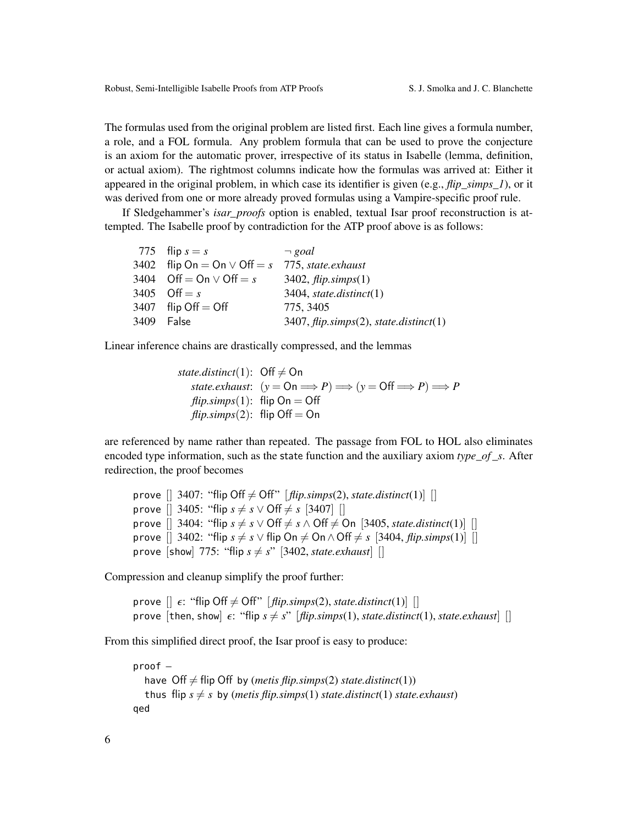The formulas used from the original problem are listed first. Each line gives a formula number, a role, and a FOL formula. Any problem formula that can be used to prove the conjecture is an axiom for the automatic prover, irrespective of its status in Isabelle (lemma, definition, or actual axiom). The rightmost columns indicate how the formulas was arrived at: Either it appeared in the original problem, in which case its identifier is given (e.g., *flip\_simps\_1*), or it was derived from one or more already proved formulas using a Vampire-specific proof rule.

If Sledgehammer's *isar\_proofs* option is enabled, textual Isar proof reconstruction is attempted. The Isabelle proof by contradiction for the ATP proof above is as follows:

| 775 flip $s = s$                 | $\neg$ goal                              |
|----------------------------------|------------------------------------------|
| 3402 flip On = On $\vee$ Off = s | 775, state.exhaust                       |
| 3404 Off = On $\vee$ Off = s     | 3402, $flip.simps(1)$                    |
| 3405 Off = $s$                   | $3404$ , state.distinct(1)               |
| 3407 flip Off $=$ Off            | 775, 3405                                |
| 3409 False                       | $3407, flip.simps(2), state.distinct(1)$ |

Linear inference chains are drastically compressed, and the lemmas

| state.distinct(1): $\mathsf{Off} \neq \mathsf{On}$ |                                                                                                                             |
|----------------------------------------------------|-----------------------------------------------------------------------------------------------------------------------------|
|                                                    | state.exhaust: $(y = \mathsf{On} \Longrightarrow P) \Longrightarrow (y = \mathsf{Off} \Longrightarrow P) \Longrightarrow P$ |
| <i>flip.simps</i> (1): flip On = Off               |                                                                                                                             |
| $flip. \text{simps}(2)$ : flip Off = On            |                                                                                                                             |

are referenced by name rather than repeated. The passage from FOL to HOL also eliminates encoded type information, such as the state function and the auxiliary axiom *type*\_*of* \_*s*. After redirection, the proof becomes

prove  $[$  3407: "flip Off  $\neq$  Off"  $[$  *flip.simps*(2), *state.distinct*(1) $]$   $[$ prove  $[$  3405: "flip  $s \neq s \vee \text{Off} \neq s$   $[3407]$  [] prove  $[$ ] 3404: "flip  $s \neq s \vee \text{Off} \neq s \wedge \text{Off} \neq \text{On}$  [3405, *state.distinct*(1)] [] prove  $[$  3402: "flip  $s \neq s \vee f$ lip On  $\neq$  On  $\wedge$  Off  $\neq s$   $[3404, flip \times p s(1)]$   $[$ prove [show] 775: "flip  $s \neq s$ " [3402, *state.exhaust*] []

Compression and cleanup simplify the proof further:

prove  $[$   $\epsilon$ : "flip Off  $\neq$  Off"  $[$  *flip.simps*(2), *state.distinct*(1) $]$   $[$ prove [then, show]  $\epsilon$ : "flip  $s \neq s$ " [*flip.simps*(1), *state.distinct*(1), *state.exhaust*] []

From this simplified direct proof, the Isar proof is easy to produce:

```
proof –
  have Off \neq flip Off by (metis flip.simps(2) state.distinct(1))
  thus flip s \neq s by (metis flip.simps(1) state.distinct(1) state.exhaust)
qed
```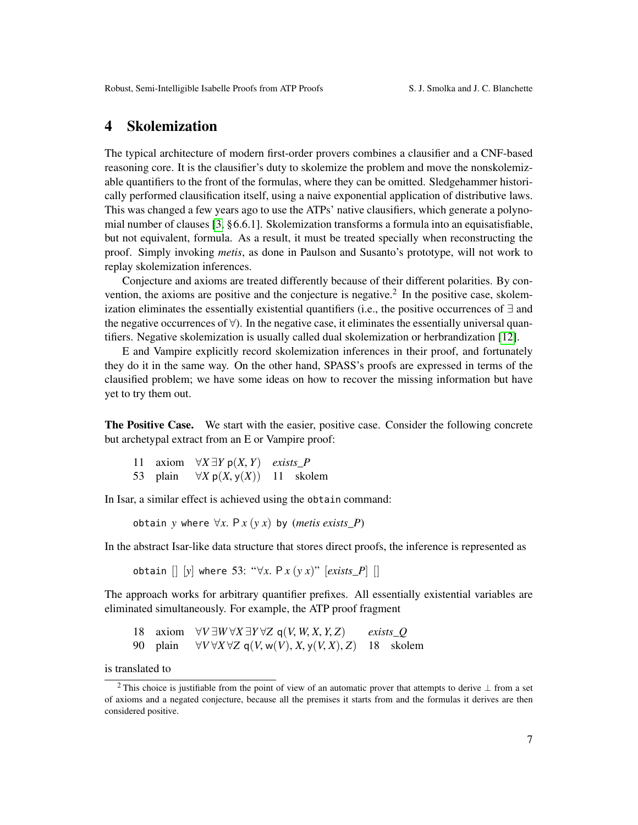### <span id="page-6-0"></span>4 Skolemization

The typical architecture of modern first-order provers combines a clausifier and a CNF-based reasoning core. It is the clausifier's duty to skolemize the problem and move the nonskolemizable quantifiers to the front of the formulas, where they can be omitted. Sledgehammer historically performed clausification itself, using a naive exponential application of distributive laws. This was changed a few years ago to use the ATPs' native clausifiers, which generate a polynomial number of clauses [\[3,](#page-14-9) §6.6.1]. Skolemization transforms a formula into an equisatisfiable, but not equivalent, formula. As a result, it must be treated specially when reconstructing the proof. Simply invoking *metis*, as done in Paulson and Susanto's prototype, will not work to replay skolemization inferences.

Conjecture and axioms are treated differently because of their different polarities. By convention, the axioms are positive and the conjecture is negative.<sup>2</sup> In the positive case, skolemization eliminates the essentially existential quantifiers (i.e., the positive occurrences of ∃ and the negative occurrences of ∀). In the negative case, it eliminates the essentially universal quantifiers. Negative skolemization is usually called dual skolemization or herbrandization [\[12\]](#page-14-10).

E and Vampire explicitly record skolemization inferences in their proof, and fortunately they do it in the same way. On the other hand, SPASS's proofs are expressed in terms of the clausified problem; we have some ideas on how to recover the missing information but have yet to try them out.

The Positive Case. We start with the easier, positive case. Consider the following concrete but archetypal extract from an E or Vampire proof:

|          | 11 axiom $\forall X \exists Y \, p(X, Y)$ exists P |  |
|----------|----------------------------------------------------|--|
| 53 plain | $\forall X \, p(X, y(X))$ 11 skolem                |  |

In Isar, a similar effect is achieved using the obtain command:

obtain *y* where  $\forall x$ .  $P x (y x)$  by (*metis exists* P)

In the abstract Isar-like data structure that stores direct proofs, the inference is represented as

obtain [] [*y*] where 53: "∀*x*. <sup>P</sup> *<sup>x</sup>* (*y x*)" [*exists\_P*] []

The approach works for arbitrary quantifier prefixes. All essentially existential variables are eliminated simultaneously. For example, the ATP proof fragment

18 axiom  $\forall V \exists W \forall X \exists Y \forall Z \mathsf{q}(V, W, X, Y, Z)$  *exists\_Q*<br>90 plain  $\forall V \forall X \forall Z \mathsf{q}(V, w(V), X, v(V, X), Z)$  18 sko

 $\forall V \forall X \forall Z \ q(V, w(V), X, v(V, X), Z)$  18 skolem

is translated to

<sup>&</sup>lt;sup>2</sup> This choice is justifiable from the point of view of an automatic prover that attempts to derive ⊥ from a set of axioms and a negated conjecture, because all the premises it starts from and the formulas it derives are then considered positive.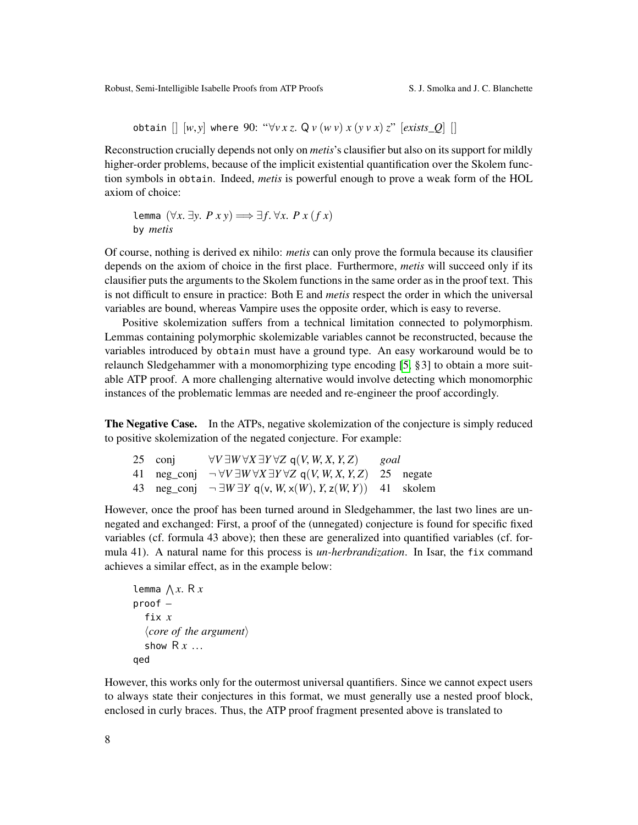obtain  $[ | [w, y]$  where 90: " $\forall v \, x \, z$ . Q  $v (w \, v) \, x (y \, v \, x) \, z$ " [*exists\_Q*] []

Reconstruction crucially depends not only on *metis*'s clausifier but also on its support for mildly higher-order problems, because of the implicit existential quantification over the Skolem function symbols in obtain. Indeed, *metis* is powerful enough to prove a weak form of the HOL axiom of choice:

lemma  $(\forall x. \exists y. P x y) \Longrightarrow ∃f. ∨x. P x (f x)$ by *metis*

Of course, nothing is derived ex nihilo: *metis* can only prove the formula because its clausifier depends on the axiom of choice in the first place. Furthermore, *metis* will succeed only if its clausifier puts the arguments to the Skolem functions in the same order as in the proof text. This is not difficult to ensure in practice: Both E and *metis* respect the order in which the universal variables are bound, whereas Vampire uses the opposite order, which is easy to reverse.

Positive skolemization suffers from a technical limitation connected to polymorphism. Lemmas containing polymorphic skolemizable variables cannot be reconstructed, because the variables introduced by obtain must have a ground type. An easy workaround would be to relaunch Sledgehammer with a monomorphizing type encoding [\[5,](#page-14-1) §3] to obtain a more suitable ATP proof. A more challenging alternative would involve detecting which monomorphic instances of the problematic lemmas are needed and re-engineer the proof accordingly.

The Negative Case. In the ATPs, negative skolemization of the conjecture is simply reduced to positive skolemization of the negated conjecture. For example:

| 25 conj | $\forall V \exists W \forall X \exists Y \forall Z \; q(V, W, X, Y, Z)$ goal                             |  |
|---------|----------------------------------------------------------------------------------------------------------|--|
|         | 41 neg_conj $\neg \forall V \exists W \forall X \exists Y \forall Z \mathsf{q}(V, W, X, Y, Z)$ 25 negate |  |
|         | 43 neg_conj $\neg \exists W \exists Y \ q(v, W, x(W), Y, z(W, Y))$ 41 skolem                             |  |
|         |                                                                                                          |  |

However, once the proof has been turned around in Sledgehammer, the last two lines are unnegated and exchanged: First, a proof of the (unnegated) conjecture is found for specific fixed variables (cf. formula 43 above); then these are generalized into quantified variables (cf. formula 41). A natural name for this process is *un-herbrandization*. In Isar, the fix command achieves a similar effect, as in the example below:

```
lemma \bigwedge x. R x<br>proof –
proof –
   fix x
   \langle core\ of\ the\ argument\rangleshow R x ...
qed
```
However, this works only for the outermost universal quantifiers. Since we cannot expect users to always state their conjectures in this format, we must generally use a nested proof block, enclosed in curly braces. Thus, the ATP proof fragment presented above is translated to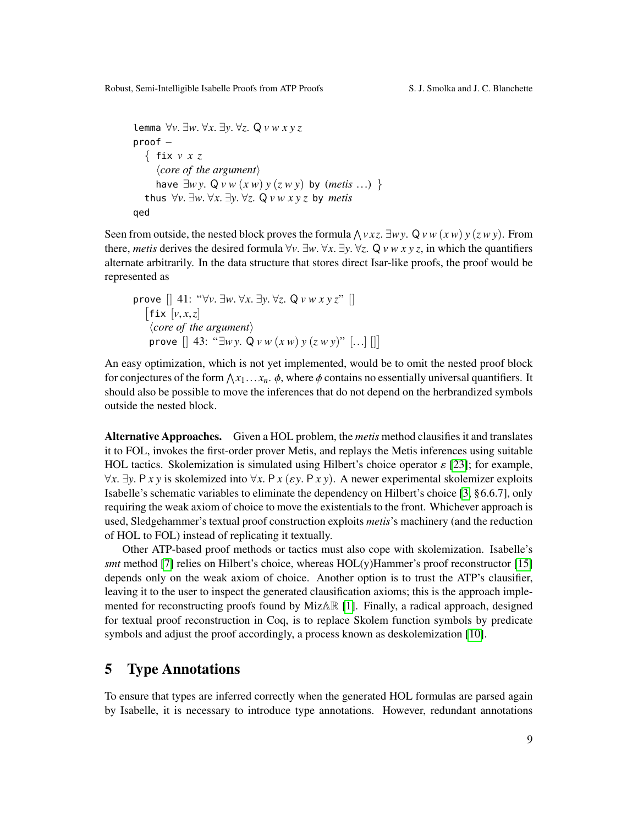Robust, Semi-Intelligible Isabelle Proofs from ATP Proofs S. J. Smolka and J. C. Blanchette

```
lemma ∀v. ∃w. ∀x. ∃y. ∀z. Q v w x y z
proof –
  { fix v x z
     \langle core\ of\ the\ argument\ranglehave ∃wy. Q v w (x w) y (z w y) by (metis ...) }
  thus ∀v. ∃w. ∀x. ∃y. ∀z. Q v w x y z by metis
qed
```
Seen from outside, the nested block proves the formula  $\bigwedge v xz$ .  $\exists w \cdot y$ .  $\bigvee v w$  (*x w*)  $y$  (*z w y*). From there *metic* derives the desired formula  $\forall v \exists w \forall x \exists w \forall z$ . O *y w x y z* in which the quantifiers there, *metis* derives the desired formula  $\forall v$ .  $\exists w$ .  $\forall x$ .  $\exists y$ .  $\forall z$ . Q  $v \le x \le z$ , in which the quantifiers alternate arbitrarily. In the data structure that stores direct Isar-like proofs, the proof would be represented as

prove [] 41: "
$$
\forall v. \exists w. \forall x. \exists y. \forall z. Q v w x y z
$$
" []  
\n[fix [v, x, z]  
\n $\langle core \text{ of the argument} \rangle$   
\nprove [] 43: " $\exists w y. Q v w (x w) y (z w y$ " [...] []]

An easy optimization, which is not yet implemented, would be to omit the nested proof block for conjectures of the form  $\bigwedge x_1 \dots x_n$ .  $\phi$ , where  $\phi$  contains no essentially universal quantifiers. It should also be possible to move the inferences that do not depend on the herbrandized symbols should also be possible to move the inferences that do not depend on the herbrandized symbols outside the nested block.

Alternative Approaches. Given a HOL problem, the *metis* method clausifies it and translates it to FOL, invokes the first-order prover Metis, and replays the Metis inferences using suitable HOL tactics. Skolemization is simulated using Hilbert's choice operator  $\varepsilon$  [\[23\]](#page-15-4); for example, <sup>∀</sup>*x*. <sup>∃</sup>*y*. <sup>P</sup> *x y* is skolemized into <sup>∀</sup>*x*. <sup>P</sup> *<sup>x</sup>* (ε*y*. <sup>P</sup> *x y*). A newer experimental skolemizer exploits Isabelle's schematic variables to eliminate the dependency on Hilbert's choice [\[3,](#page-14-9) §6.6.7], only requiring the weak axiom of choice to move the existentials to the front. Whichever approach is used, Sledgehammer's textual proof construction exploits *metis*'s machinery (and the reduction of HOL to FOL) instead of replicating it textually.

Other ATP-based proof methods or tactics must also cope with skolemization. Isabelle's *smt* method [\[7\]](#page-14-2) relies on Hilbert's choice, whereas HOL(y)Hammer's proof reconstructor [\[15\]](#page-15-7) depends only on the weak axiom of choice. Another option is to trust the ATP's clausifier, leaving it to the user to inspect the generated clausification axioms; this is the approach implemented for reconstructing proofs found by MizAR [\[1\]](#page-14-3). Finally, a radical approach, designed for textual proof reconstruction in Coq, is to replace Skolem function symbols by predicate symbols and adjust the proof accordingly, a process known as deskolemization [\[10\]](#page-14-11).

### <span id="page-8-0"></span>5 Type Annotations

To ensure that types are inferred correctly when the generated HOL formulas are parsed again by Isabelle, it is necessary to introduce type annotations. However, redundant annotations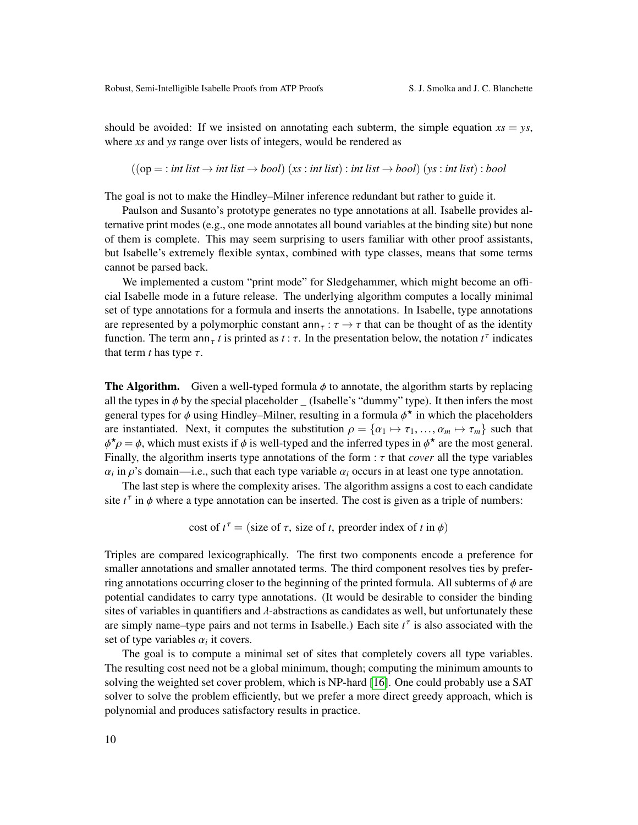should be avoided: If we insisted on annotating each subterm, the simple equation  $xs = ys$ , where *xs* and *ys* range over lists of integers, would be rendered as

 $((op = : int list \rightarrow int list \rightarrow bool)$  (*xs* : *int list*) : *int list*  $\rightarrow bool)$  (*ys* : *int list*) : *bool* 

The goal is not to make the Hindley–Milner inference redundant but rather to guide it.

Paulson and Susanto's prototype generates no type annotations at all. Isabelle provides alternative print modes (e.g., one mode annotates all bound variables at the binding site) but none of them is complete. This may seem surprising to users familiar with other proof assistants, but Isabelle's extremely flexible syntax, combined with type classes, means that some terms cannot be parsed back.

We implemented a custom "print mode" for Sledgehammer, which might become an official Isabelle mode in a future release. The underlying algorithm computes a locally minimal set of type annotations for a formula and inserts the annotations. In Isabelle, type annotations are represented by a polymorphic constant  $\text{ann}_{\tau} : \tau \to \tau$  that can be thought of as the identity function. The term ann<sub>τ</sub> *t* is printed as *t* :  $\tau$ . In the presentation below, the notation  $t^{\tau}$  indicates that term *t* has type  $\tau$ that term  $t$  has type  $\tau$ .

**The Algorithm.** Given a well-typed formula  $\phi$  to annotate, the algorithm starts by replacing all the types in  $\phi$  by the special placeholder  $\angle$  (Isabelle's "dummy" type). It then infers the most general types for  $\phi$  using Hindley–Milner, resulting in a formula  $\phi^*$  in which the placeholders<br>are instantiated. Next, it computes the substitution  $\phi = \{\alpha_i\} \setminus \mathcal{F}_i$ ,  $\alpha_i \setminus \mathcal{F}_i$ , such that are instantiated. Next, it computes the substitution  $\rho = {\alpha_1 \mapsto \tau_1, ..., \alpha_m \mapsto \tau_m}$  such that Finally, the algorithm inserts type annotations of the form :  $\tau$  that *cover* all the type variables  $\alpha$ , in  $\alpha$ 's domain—i.e., such that each type variable  $\alpha$ , occurs in at least one type annotation  $\dot{\gamma} \rho = \phi$ , which must exists if  $\phi$  is well-typed and the inferred types in  $\phi^*$  are the most general.  $\alpha_i$  in  $\rho$ 's domain—i.e., such that each type variable  $\alpha_i$  occurs in at least one type annotation.<br>The lest step is where the complexity erises. The electric position assigns a cost to each condider

The last step is where the complexity arises. The algorithm assigns a cost to each candidate site  $t^{\tau}$  in  $\phi$  where a type annotation can be inserted. The cost is given as a triple of numbers:

cost of  $t^{\tau}$  = (size of  $\tau$ , size of *t*, preorder index of *t* in  $\phi$ )

Triples are compared lexicographically. The first two components encode a preference for smaller annotations and smaller annotated terms. The third component resolves ties by preferring annotations occurring closer to the beginning of the printed formula. All subterms of  $\phi$  are potential candidates to carry type annotations. (It would be desirable to consider the binding sites of variables in quantifiers and λ-abstractions as candidates as well, but unfortunately these are simply name–type pairs and not terms in Isabelle.) Each site  $t^{\tau}$  is also associated with the set of type variables  $\alpha_i$  it covers.<br>The goal is to compute a m

The goal is to compute a minimal set of sites that completely covers all type variables. The resulting cost need not be a global minimum, though; computing the minimum amounts to solving the weighted set cover problem, which is NP-hard [\[16\]](#page-15-14). One could probably use a SAT solver to solve the problem efficiently, but we prefer a more direct greedy approach, which is polynomial and produces satisfactory results in practice.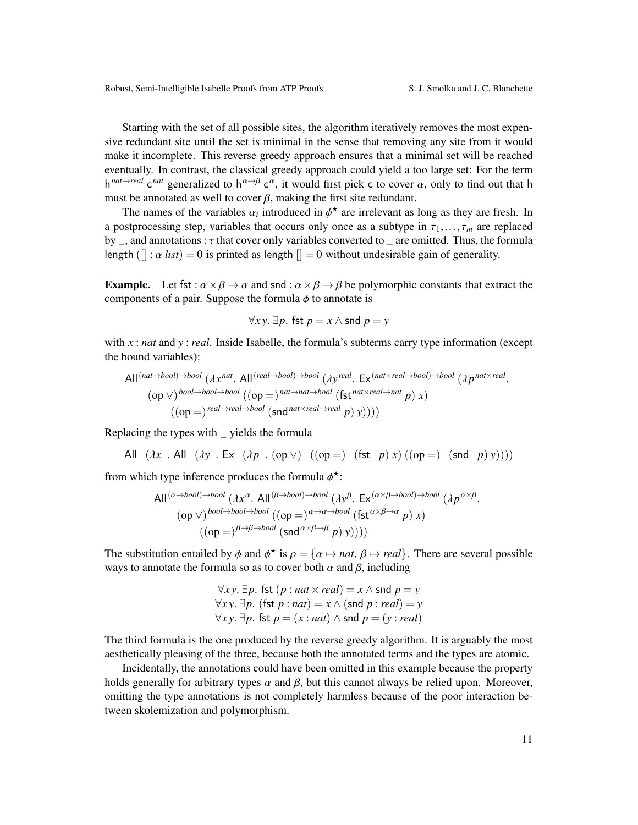Starting with the set of all possible sites, the algorithm iteratively removes the most expensive redundant site until the set is minimal in the sense that removing any site from it would make it incomplete. This reverse greedy approach ensures that a minimal set will be reached eventually. In contrast, the classical greedy approach could yield a too large set: For the term  $h^{nat\rightarrow real}$  c<sup>nat</sup> generalized to  $h^{\alpha\rightarrow\beta}$  c<sup>α</sup>, it would first pick c to cover  $\alpha$ , only to find out that h<br>must be appointed as well to cover  $\beta$ , making the first site redundant must be annotated as well to cover  $\beta$ , making the first site redundant.

The names of the variables  $\alpha_i$  introduced in  $\phi^*$  are irrelevant as long as they are fresh. In a postprocessing step, variables that occurs only once as a subtype in  $\tau_1, \ldots, \tau_m$  are replaced by \_, and annotations :  $\tau$  that cover only variables converted to \_ are omitted. Thus, the formula length  $($ [] :  $\alpha$  *list*) = 0 is printed as length [] = 0 without undesirable gain of generality.

**Example.** Let fst :  $\alpha \times \beta \rightarrow \alpha$  and snd :  $\alpha \times \beta \rightarrow \beta$  be polymorphic constants that extract the components of a pair. Suppose the formula  $\phi$  to annotate is

$$
\forall xy. \exists p. \text{fst } p = x \land \text{snd } p = y
$$

with *x* : *nat* and *y* : *real*. Inside Isabelle, the formula's subterms carry type information (except the bound variables):

All 
$$
(nat \rightarrow bool) \rightarrow bool
$$
 ( $\lambda x^{nat}$ . All  $(real \rightarrow bool)$ )  $\rightarrow bool$  ( $\lambda y^{real}$ . Ex  $(nat \times real \rightarrow bool)$   $\rightarrow bool$  ( $\lambda p^{nat \times real}$ .  
\n $(op \vee) bool \rightarrow bool \rightarrow (op =) nat \rightarrow nat \rightarrow bool (fst nat \times real \rightarrow nat p) x$   
\n $((op =) real \rightarrow real \rightarrow bool (snd nat \times real \rightarrow real p) y))))$ 

Replacing the types with \_ yields the formula

All<sup>-</sup> (
$$
\lambda x^-
$$
. All<sup>-</sup> ( $\lambda y^-$ . Ex<sup>-</sup> ( $\lambda p^-$ . (op  $\vee$ )<sup>-</sup> ((op =)<sup>-</sup> (fst<sup>-</sup> *p*) *x*) ((op =)<sup>-</sup> (snd<sup>-</sup> *p*) *y*))))

from which type inference produces the formula  $\phi^*$ :

All 
$$
(\alpha \rightarrow bool)
$$
  $(\lambda x^{\alpha}$ . All  $(\beta \rightarrow bool)$   $(\lambda y^{\beta})$ . Ex  $(\alpha \times \beta \rightarrow bool)$   $(\lambda p^{\alpha \times \beta})$   
\n $(\text{op } \vee)$   $^{bool \rightarrow bool \rightarrow bool}$   $((\text{op } =)$   $\alpha \rightarrow \alpha \rightarrow bool$   $(\text{fst } \alpha \times \beta \rightarrow \alpha \ p)$  x)  
\n $((\text{op } =)$   $\beta \rightarrow \beta \rightarrow bool$   $(\text{snd } \alpha \times \beta \rightarrow \beta \ p)$  y))))

The substitution entailed by  $\phi$  and  $\phi^*$  is  $\rho = {\alpha \mapsto nat, \beta \mapsto real}.$  There are several possible ways to appoint the formula so as to cover both  $\alpha$  and  $\beta$  including ways to annotate the formula so as to cover both  $\alpha$  and  $\beta$ , including

> <sup>∀</sup>*x y*. <sup>∃</sup>*p*. fst (*<sup>p</sup>* : *nat*×*real*) = *<sup>x</sup>* <sup>∧</sup> snd *<sup>p</sup>* <sup>=</sup> *<sup>y</sup>* <sup>∀</sup>*x y*. <sup>∃</sup>*p*. (fst *<sup>p</sup>* : *nat*) = *<sup>x</sup>* <sup>∧</sup> (snd *<sup>p</sup>* : *real*) = *<sup>y</sup>* <sup>∀</sup>*x y*. <sup>∃</sup>*p*. fst *<sup>p</sup>* = (*<sup>x</sup>* : *nat*) <sup>∧</sup> snd *<sup>p</sup>* = (*<sup>y</sup>* : *real*)

The third formula is the one produced by the reverse greedy algorithm. It is arguably the most aesthetically pleasing of the three, because both the annotated terms and the types are atomic.

Incidentally, the annotations could have been omitted in this example because the property holds generally for arbitrary types  $\alpha$  and  $\beta$ , but this cannot always be relied upon. Moreover, omitting the type annotations is not completely harmless because of the poor interaction between skolemization and polymorphism.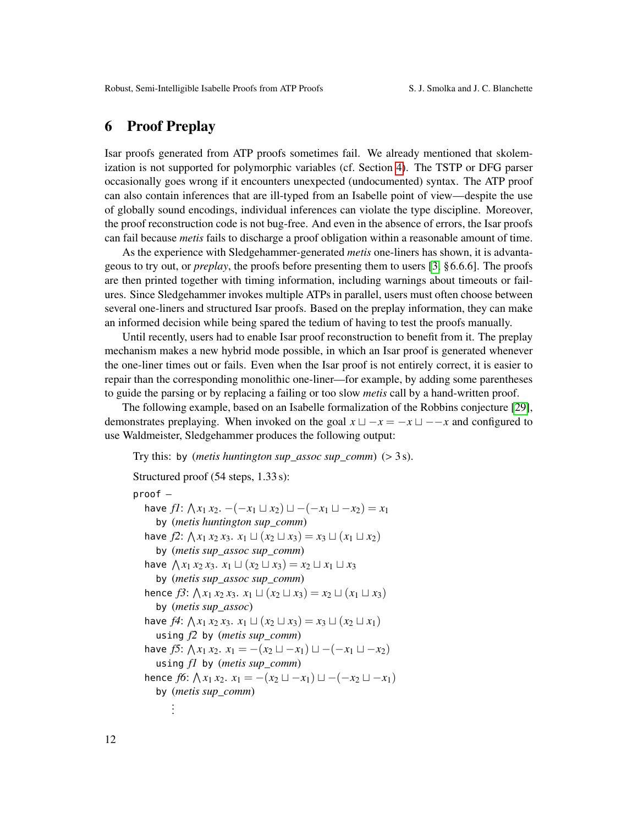### <span id="page-11-0"></span>6 Proof Preplay

Isar proofs generated from ATP proofs sometimes fail. We already mentioned that skolemization is not supported for polymorphic variables (cf. Section [4\)](#page-6-0). The TSTP or DFG parser occasionally goes wrong if it encounters unexpected (undocumented) syntax. The ATP proof can also contain inferences that are ill-typed from an Isabelle point of view—despite the use of globally sound encodings, individual inferences can violate the type discipline. Moreover, the proof reconstruction code is not bug-free. And even in the absence of errors, the Isar proofs can fail because *metis* fails to discharge a proof obligation within a reasonable amount of time.

As the experience with Sledgehammer-generated *metis* one-liners has shown, it is advantageous to try out, or *preplay*, the proofs before presenting them to users [\[3,](#page-14-9) §6.6.6]. The proofs are then printed together with timing information, including warnings about timeouts or failures. Since Sledgehammer invokes multiple ATPs in parallel, users must often choose between several one-liners and structured Isar proofs. Based on the preplay information, they can make an informed decision while being spared the tedium of having to test the proofs manually.

Until recently, users had to enable Isar proof reconstruction to benefit from it. The preplay mechanism makes a new hybrid mode possible, in which an Isar proof is generated whenever the one-liner times out or fails. Even when the Isar proof is not entirely correct, it is easier to repair than the corresponding monolithic one-liner—for example, by adding some parentheses to guide the parsing or by replacing a failing or too slow *metis* call by a hand-written proof.

The following example, based on an Isabelle formalization of the Robbins conjecture [\[29\]](#page-15-15), demonstrates preplaying. When invoked on the goal  $x \sqcup -x = -x \sqcup -x$  and configured to use Waldmeister, Sledgehammer produces the following output:

Try this: by (*metis huntington sup\_assoc sup\_comm*) (> 3 s).

```
Structured proof (54 steps, 1.33 s):
proof –
    have f1: \bigwedge x_1 x_2, -(-x_1 \sqcup x_2) \sqcup -(-x_1 \sqcup -x_2) = x_1<br>by (matis huntinator sup comm)
        by (metis huntington sup_comm)
    have f2: \bigwedge x_1 x_2 x_3. x_1 \sqcup (x_2 \sqcup x_3) = x_3 \sqcup (x_1 \sqcup x_2)<br>by (matis sup assoc sup comm)
        by (metis sup_assoc sup_comm)
    have \bigwedge x_1 x_2 x_3, x_1 \sqcup (x_2 \sqcup x_3) = x_2 \sqcup x_1 \sqcup x_3<br>by (matis sup assoc sup comm)
        by (metis sup_assoc sup_comm)
    hence f3: \bigwedge x_1 x_2 x_3. x_1 \sqcup (x_2 \sqcup x_3) = x_2 \sqcup (x_1 \sqcup x_3)<br>by (matis sup assoc)
        by (metis sup_assoc)
    have f4: \bigwedge x_1 x_2 x_3. x_1 \sqcup (x_2 \sqcup x_3) = x_3 \sqcup (x_2 \sqcup x_1)<br>using f2 by (matis sup comm)
        using f2 by (metis sup_comm)
    have f5: \bigwedge x_1 x_2. x_1 = -(x_2 \sqcup -x_1) \sqcup -(x_1 \sqcup -x_2)<br>using f1 by (metis sup comm)
        using f1 by (metis sup_comm)
    hence f6: \bigwedge x_1 x_2. x_1 = -(x_2 \sqcup -x_1) \sqcup -(x_2 \sqcup -x_1)<br>by (metis sup comm)
        by (metis sup_comm)
              .
              .
              .
```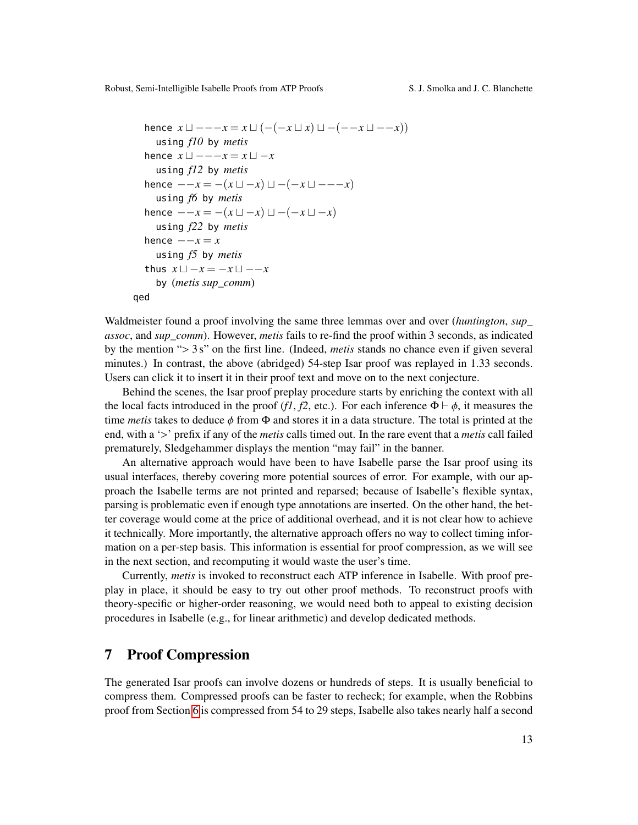```
hence x \sqcup - -x = x \sqcup (-(-x \sqcup x) \sqcup -(-x \sqcup -x))using f10 by metis
  hence x \sqcup -\!\!\!-x = x \sqcup -xusing f12 by metis
  hence -−x = -(x \sqcup -x) \sqcup -(-x \sqcup -−-x)using f6 by metis
  hence -−x = -(x \sqcup -x) \sqcup -(-x \sqcup -x)using f22 by metis
  hence -{-x} = xusing f5 by metis
  thus x \sqcup -x = -x \sqcup -xby (metis sup_comm)
qed
```
Waldmeister found a proof involving the same three lemmas over and over (*huntington*, *sup\_ assoc*, and *sup\_comm*). However, *metis* fails to re-find the proof within 3 seconds, as indicated by the mention "> 3 s" on the first line. (Indeed, *metis* stands no chance even if given several minutes.) In contrast, the above (abridged) 54-step Isar proof was replayed in 1.33 seconds. Users can click it to insert it in their proof text and move on to the next conjecture.

Behind the scenes, the Isar proof preplay procedure starts by enriching the context with all the local facts introduced in the proof (*f1*, *f2*, etc.). For each inference  $\Phi \vdash \phi$ , it measures the time *metis* takes to deduce  $\phi$  from  $\Phi$  and stores it in a data structure. The total is printed at the end, with a '>' prefix if any of the *metis* calls timed out. In the rare event that a *metis* call failed prematurely, Sledgehammer displays the mention "may fail" in the banner.

An alternative approach would have been to have Isabelle parse the Isar proof using its usual interfaces, thereby covering more potential sources of error. For example, with our approach the Isabelle terms are not printed and reparsed; because of Isabelle's flexible syntax, parsing is problematic even if enough type annotations are inserted. On the other hand, the better coverage would come at the price of additional overhead, and it is not clear how to achieve it technically. More importantly, the alternative approach offers no way to collect timing information on a per-step basis. This information is essential for proof compression, as we will see in the next section, and recomputing it would waste the user's time.

Currently, *metis* is invoked to reconstruct each ATP inference in Isabelle. With proof preplay in place, it should be easy to try out other proof methods. To reconstruct proofs with theory-specific or higher-order reasoning, we would need both to appeal to existing decision procedures in Isabelle (e.g., for linear arithmetic) and develop dedicated methods.

#### <span id="page-12-0"></span>7 Proof Compression

The generated Isar proofs can involve dozens or hundreds of steps. It is usually beneficial to compress them. Compressed proofs can be faster to recheck; for example, when the Robbins proof from Section [6](#page-11-0) is compressed from 54 to 29 steps, Isabelle also takes nearly half a second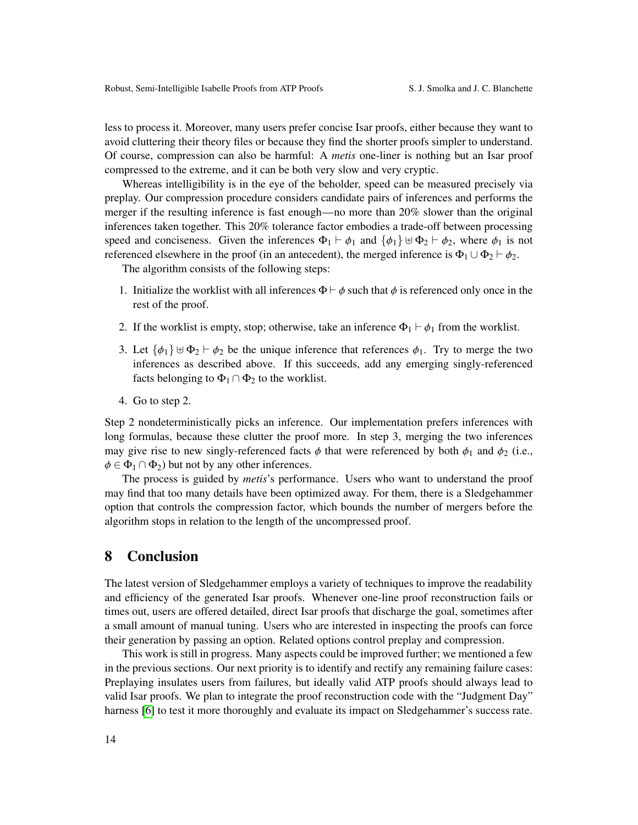less to process it. Moreover, many users prefer concise Isar proofs, either because they want to avoid cluttering their theory files or because they find the shorter proofs simpler to understand. Of course, compression can also be harmful: A *metis* one-liner is nothing but an Isar proof compressed to the extreme, and it can be both very slow and very cryptic.

Whereas intelligibility is in the eye of the beholder, speed can be measured precisely via preplay. Our compression procedure considers candidate pairs of inferences and performs the merger if the resulting inference is fast enough—no more than 20% slower than the original inferences taken together. This 20% tolerance factor embodies a trade-off between processing speed and conciseness. Given the inferences  $\Phi_1 \vdash \phi_1$  and  $\{\phi_1\} \uplus \Phi_2 \vdash \phi_2$ , where  $\phi_1$  is not referenced elsewhere in the proof (in an antecedent), the merged inference is  $\Phi_1 \cup \Phi_2 \vdash \phi_2$ .

The algorithm consists of the following steps:

- 1. Initialize the worklist with all inferences  $\Phi \vdash \phi$  such that  $\phi$  is referenced only once in the rest of the proof.
- 2. If the worklist is empty, stop; otherwise, take an inference  $\Phi_1 \vdash \phi_1$  from the worklist.
- 3. Let  $\{\phi_1\} \cup \Phi_2 \vdash \phi_2$  be the unique inference that references  $\phi_1$ . Try to merge the two inferences as described above. If this succeeds, add any emerging singly-referenced facts belonging to  $\Phi_1 \cap \Phi_2$  to the worklist.
- 4. Go to step 2.

Step 2 nondeterministically picks an inference. Our implementation prefers inferences with long formulas, because these clutter the proof more. In step 3, merging the two inferences may give rise to new singly-referenced facts  $\phi$  that were referenced by both  $\phi_1$  and  $\phi_2$  (i.e.,  $\phi \in \Phi_1 \cap \Phi_2$ ) but not by any other inferences.

The process is guided by *metis*'s performance. Users who want to understand the proof may find that too many details have been optimized away. For them, there is a Sledgehammer option that controls the compression factor, which bounds the number of mergers before the algorithm stops in relation to the length of the uncompressed proof.

### 8 Conclusion

The latest version of Sledgehammer employs a variety of techniques to improve the readability and efficiency of the generated Isar proofs. Whenever one-line proof reconstruction fails or times out, users are offered detailed, direct Isar proofs that discharge the goal, sometimes after a small amount of manual tuning. Users who are interested in inspecting the proofs can force their generation by passing an option. Related options control preplay and compression.

This work is still in progress. Many aspects could be improved further; we mentioned a few in the previous sections. Our next priority is to identify and rectify any remaining failure cases: Preplaying insulates users from failures, but ideally valid ATP proofs should always lead to valid Isar proofs. We plan to integrate the proof reconstruction code with the "Judgment Day" harness [\[6\]](#page-14-12) to test it more thoroughly and evaluate its impact on Sledgehammer's success rate.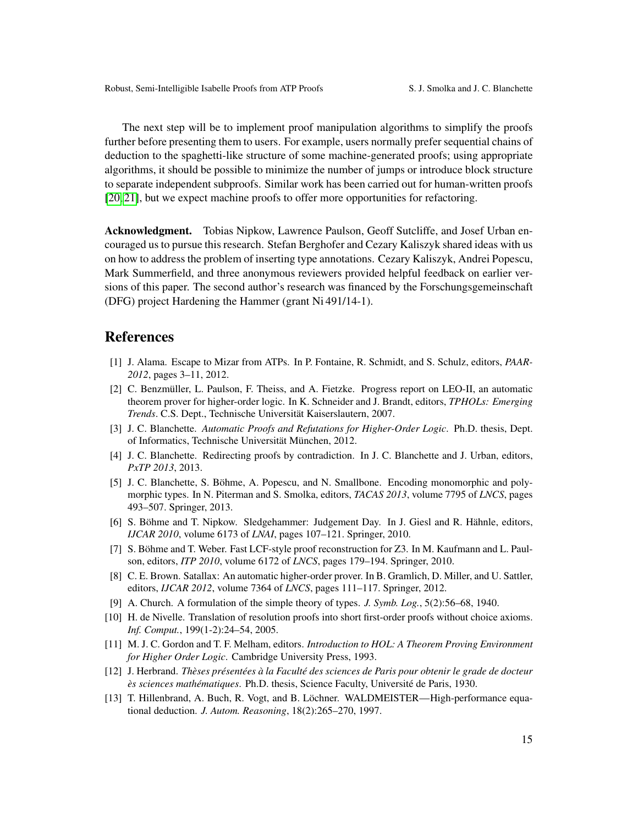The next step will be to implement proof manipulation algorithms to simplify the proofs further before presenting them to users. For example, users normally prefer sequential chains of deduction to the spaghetti-like structure of some machine-generated proofs; using appropriate algorithms, it should be possible to minimize the number of jumps or introduce block structure to separate independent subproofs. Similar work has been carried out for human-written proofs [\[20,](#page-15-16) [21\]](#page-15-17), but we expect machine proofs to offer more opportunities for refactoring.

Acknowledgment. Tobias Nipkow, Lawrence Paulson, Geoff Sutcliffe, and Josef Urban encouraged us to pursue this research. Stefan Berghofer and Cezary Kaliszyk shared ideas with us on how to address the problem of inserting type annotations. Cezary Kaliszyk, Andrei Popescu, Mark Summerfield, and three anonymous reviewers provided helpful feedback on earlier versions of this paper. The second author's research was financed by the Forschungsgemeinschaft (DFG) project Hardening the Hammer (grant Ni 491/14-1).

#### References

- <span id="page-14-3"></span>[1] J. Alama. Escape to Mizar from ATPs. In P. Fontaine, R. Schmidt, and S. Schulz, editors, *PAAR-2012*, pages 3–11, 2012.
- <span id="page-14-7"></span>[2] C. Benzmüller, L. Paulson, F. Theiss, and A. Fietzke. Progress report on LEO-II, an automatic theorem prover for higher-order logic. In K. Schneider and J. Brandt, editors, *TPHOLs: Emerging Trends*. C.S. Dept., Technische Universität Kaiserslautern, 2007.
- <span id="page-14-9"></span>[3] J. C. Blanchette. *Automatic Proofs and Refutations for Higher-Order Logic*. Ph.D. thesis, Dept. of Informatics, Technische Universität München, 2012.
- <span id="page-14-0"></span>[4] J. C. Blanchette. Redirecting proofs by contradiction. In J. C. Blanchette and J. Urban, editors, *PxTP 2013*, 2013.
- <span id="page-14-1"></span>[5] J. C. Blanchette, S. Böhme, A. Popescu, and N. Smallbone. Encoding monomorphic and polymorphic types. In N. Piterman and S. Smolka, editors, *TACAS 2013*, volume 7795 of *LNCS*, pages 493–507. Springer, 2013.
- <span id="page-14-12"></span>[6] S. Böhme and T. Nipkow. Sledgehammer: Judgement Day. In J. Giesl and R. Hähnle, editors, *IJCAR 2010*, volume 6173 of *LNAI*, pages 107–121. Springer, 2010.
- <span id="page-14-2"></span>[7] S. Böhme and T. Weber. Fast LCF-style proof reconstruction for Z3. In M. Kaufmann and L. Paulson, editors, *ITP 2010*, volume 6172 of *LNCS*, pages 179–194. Springer, 2010.
- <span id="page-14-8"></span>[8] C. E. Brown. Satallax: An automatic higher-order prover. In B. Gramlich, D. Miller, and U. Sattler, editors, *IJCAR 2012*, volume 7364 of *LNCS*, pages 111–117. Springer, 2012.
- <span id="page-14-5"></span>[9] A. Church. A formulation of the simple theory of types. *J. Symb. Log.*, 5(2):56–68, 1940.
- <span id="page-14-11"></span>[10] H. de Nivelle. Translation of resolution proofs into short first-order proofs without choice axioms. *Inf. Comput.*, 199(1-2):24–54, 2005.
- <span id="page-14-4"></span>[11] M. J. C. Gordon and T. F. Melham, editors. *Introduction to HOL: A Theorem Proving Environment for Higher Order Logic*. Cambridge University Press, 1993.
- <span id="page-14-10"></span>[12] J. Herbrand. *Thèses présentées à la Faculté des sciences de Paris pour obtenir le grade de docteur ès sciences mathématiques*. Ph.D. thesis, Science Faculty, Université de Paris, 1930.
- <span id="page-14-6"></span>[13] T. Hillenbrand, A. Buch, R. Vogt, and B. Löchner. WALDMEISTER—High-performance equational deduction. *J. Autom. Reasoning*, 18(2):265–270, 1997.